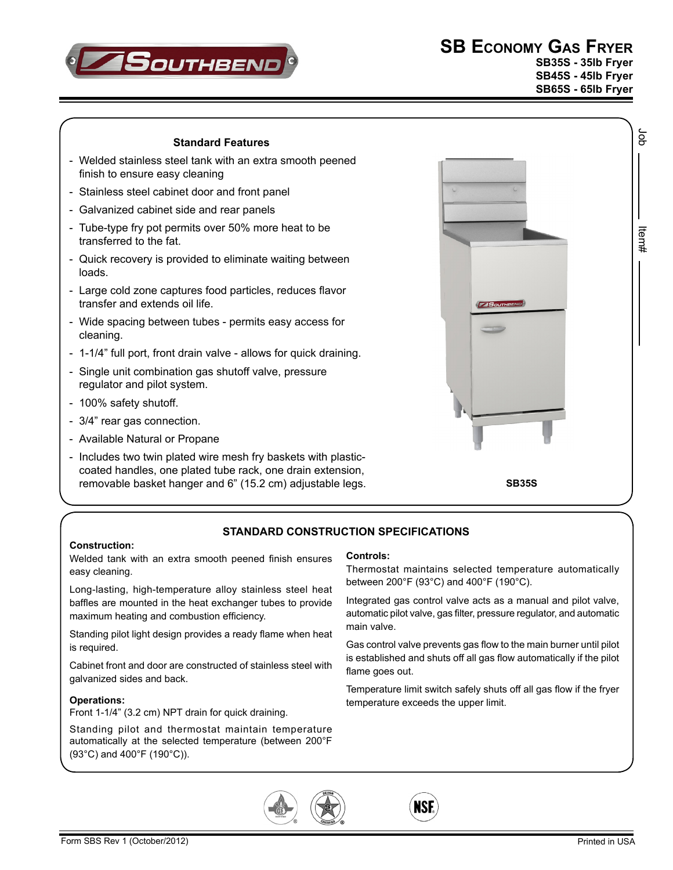

**SB Economy Gas Fryer SB35S - 35lb Fryer**

**SB45S - 45lb Fryer SB65S - 65lb Fryer**

Job Item#

ltern#

ă

### **Standard Features**

- Welded stainless steel tank with an extra smooth peened finish to ensure easy cleaning
- Stainless steel cabinet door and front panel
- Galvanized cabinet side and rear panels
- Tube-type fry pot permits over 50% more heat to be transferred to the fat.
- Quick recovery is provided to eliminate waiting between loads.
- Large cold zone captures food particles, reduces flavor transfer and extends oil life.
- Wide spacing between tubes permits easy access for cleaning.
- 1-1/4" full port, front drain valve allows for quick draining.
- Single unit combination gas shutoff valve, pressure regulator and pilot system.
- 100% safety shutoff.
- 3/4" rear gas connection.
- Available Natural or Propane
- Includes two twin plated wire mesh fry baskets with plasticcoated handles, one plated tube rack, one drain extension, removable basket hanger and 6" (15.2 cm) adjustable legs.



## **Standard CONSTRUCTION SPECIFICATIONS**

#### **Construction:**

Welded tank with an extra smooth peened finish ensures easy cleaning.

Long-lasting, high-temperature alloy stainless steel heat baffles are mounted in the heat exchanger tubes to provide maximum heating and combustion efficiency.

Standing pilot light design provides a ready flame when heat is required.

Cabinet front and door are constructed of stainless steel with galvanized sides and back.

#### **Operations:**

Front 1-1/4" (3.2 cm) NPT drain for quick draining.

Standing pilot and thermostat maintain temperature automatically at the selected temperature (between 200°F (93°C) and 400°F (190°C)).

#### **Controls:**

Thermostat maintains selected temperature automatically between 200°F (93°C) and 400°F (190°C).

Integrated gas control valve acts as a manual and pilot valve, automatic pilot valve, gas filter, pressure regulator, and automatic main valve.

Gas control valve prevents gas flow to the main burner until pilot is established and shuts off all gas flow automatically if the pilot flame goes out.

Temperature limit switch safely shuts off all gas flow if the fryer temperature exceeds the upper limit.

**NSF**